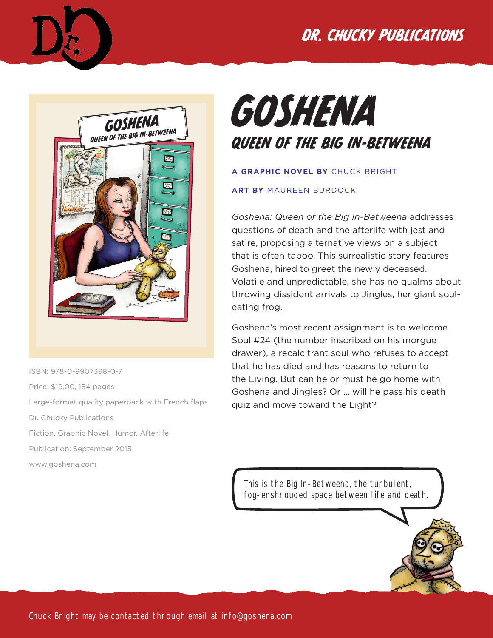





ISBN: 978-0-9907398-0-7 Price: \$19.00, 154 pages Large-format quality paperback with French flaps Dr. Chucky Publications Fiction, Graphic Novel, Humor, Afterlife Publication: September 2015 www.goshena.com

## GOSHENA QUEEN OF THE BIG IN-BETWEENA

#### **A GRAPHIC NOVEL BY** CHUCK BRIGHT

#### **ART BY** MAUREEN BURDOCK

*Goshena: Queen of the Big In-Betweena* addresses questions of death and the afterlife with jest and satire, proposing alternative views on a subject that is often taboo. This surrealistic story features Goshena, hired to greet the newly deceased. Volatile and unpredictable, she has no qualms about throwing dissident arrivals to Jingles, her giant souleating frog.

Goshena's most recent assignment is to welcome Soul #24 (the number inscribed on his morgue drawer), a recalcitrant soul who refuses to accept that he has died and has reasons to return to the Living. But can he or must he go home with Goshena and Jingles? Or … will he pass his death quiz and move toward the Light?

This is the Big In-Betweena, the turbulent, fog-enshrouded space between life and death.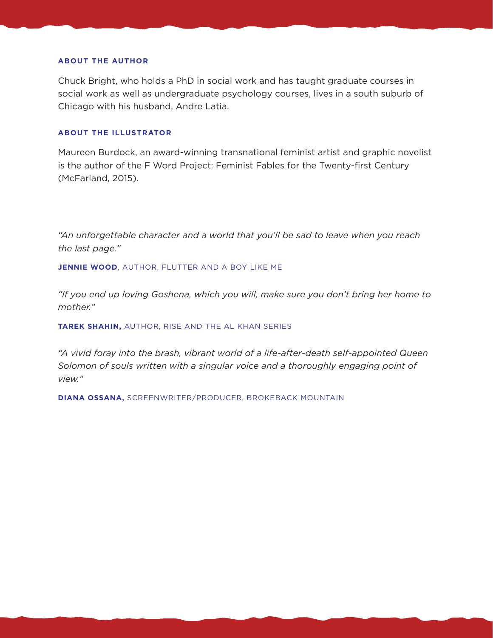#### **ABOUT THE AUTHOR**

Chuck Bright, who holds a PhD in social work and has taught graduate courses in social work as well as undergraduate psychology courses, lives in a south suburb of Chicago with his husband, Andre Latia.

#### **ABOUT THE ILLUSTRATOR**

Maureen Burdock, an award-winning transnational feminist artist and graphic novelist is the author of the F Word Project: Feminist Fables for the Twenty-first Century (McFarland, 2015).

"An unforgettable character and a world that you'll be sad to leave when you reach *the last page."*

**JENNIE WOOD**, AUTHOR, FLUTTER AND A BOY LIKE ME

*"If you end up loving Goshena, which you will, make sure you don't bring her home to mother."*

**TAREK SHAHIN,** AUTHOR, RISE AND THE AL KHAN SERIES

*"A vivid foray into the brash, vibrant world of a life-after-death self-appointed Queen Solomon of souls written with a singular voice and a thoroughly engaging point of view."*

**DIANA OSSANA,** SCREENWRITER/PRODUCER, BROKEBACK MOUNTAIN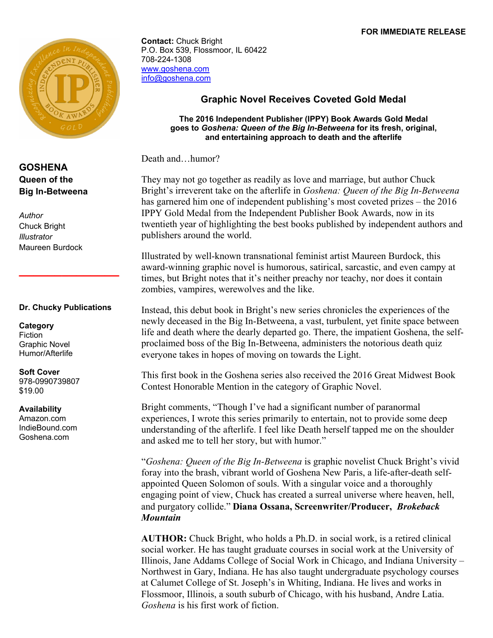#### **FOR IMMEDIATE RELEASE**



#### **GOSHENA Queen of the Big In-Betweena**

*Author* Chuck Bright *Illustrator* Maureen Burdock

#### **Dr. Chucky Publications**

**\_\_\_\_\_\_\_\_\_\_\_\_\_\_**

**Category** Fiction Graphic Novel Humor/Afterlife

#### **Soft Cover** 978-0990739807 \$19.00

**Availability** Amazon.com IndieBound.com Goshena.com

**Contact:** Chuck Bright P.O. Box 539, Flossmoor, IL 60422 708-224-1308 www.goshena.com info@goshena.com

#### **Graphic Novel Receives Coveted Gold Medal**

**The 2016 Independent Publisher (IPPY) Book Awards Gold Medal goes to** *Goshena: Queen of the Big In-Betweena* **for its fresh, original, and entertaining approach to death and the afterlife** 

Death and…humor?

They may not go together as readily as love and marriage, but author Chuck Bright's irreverent take on the afterlife in *Goshena: Queen of the Big In-Betweena* has garnered him one of independent publishing's most coveted prizes – the 2016 IPPY Gold Medal from the Independent Publisher Book Awards, now in its twentieth year of highlighting the best books published by independent authors and publishers around the world.

Illustrated by well-known transnational feminist artist Maureen Burdock, this award-winning graphic novel is humorous, satirical, sarcastic, and even campy at times, but Bright notes that it's neither preachy nor teachy, nor does it contain zombies, vampires, werewolves and the like.

Instead, this debut book in Bright's new series chronicles the experiences of the newly deceased in the Big In-Betweena, a vast, turbulent, yet finite space between life and death where the dearly departed go. There, the impatient Goshena, the selfproclaimed boss of the Big In-Betweena, administers the notorious death quiz everyone takes in hopes of moving on towards the Light.

This first book in the Goshena series also received the 2016 Great Midwest Book Contest Honorable Mention in the category of Graphic Novel.

Bright comments, "Though I've had a significant number of paranormal experiences, I wrote this series primarily to entertain, not to provide some deep understanding of the afterlife. I feel like Death herself tapped me on the shoulder and asked me to tell her story, but with humor."

"*Goshena: Queen of the Big In-Betweena* is graphic novelist Chuck Bright's vivid foray into the brash, vibrant world of Goshena New Paris, a life-after-death selfappointed Queen Solomon of souls. With a singular voice and a thoroughly engaging point of view, Chuck has created a surreal universe where heaven, hell, and purgatory collide." **Diana Ossana, Screenwriter/Producer,** *Brokeback Mountain*

**AUTHOR:** Chuck Bright, who holds a Ph.D. in social work, is a retired clinical social worker. He has taught graduate courses in social work at the University of Illinois, Jane Addams College of Social Work in Chicago, and Indiana University – Northwest in Gary, Indiana. He has also taught undergraduate psychology courses at Calumet College of St. Joseph's in Whiting, Indiana. He lives and works in Flossmoor, Illinois, a south suburb of Chicago, with his husband, Andre Latia. *Goshena* is his first work of fiction.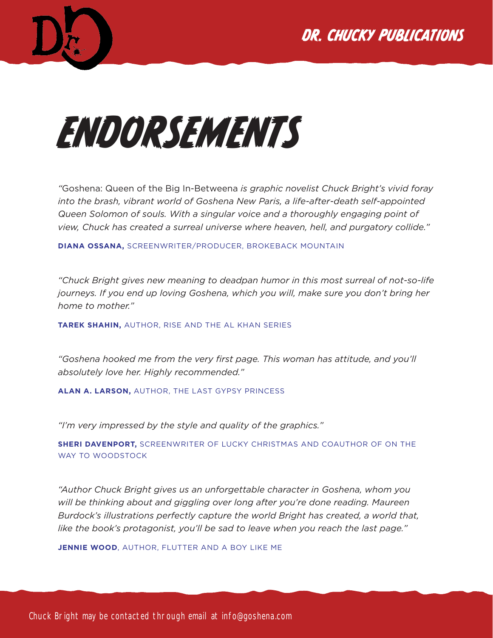



# ENDORSEMENTS

*"*Goshena: Queen of the Big In-Betweena *is graphic novelist Chuck Bright's vivid foray into the brash, vibrant world of Goshena New Paris, a life-after-death self-appointed Queen Solomon of souls. With a singular voice and a thoroughly engaging point of view, Chuck has created a surreal universe where heaven, hell, and purgatory collide."*

**DIANA OSSANA,** SCREENWRITER/PRODUCER, BROKEBACK MOUNTAIN

*"Chuck Bright gives new meaning to deadpan humor in this most surreal of not-so-life journeys. If you end up loving Goshena, which you will, make sure you don't bring her home to mother."*

**TAREK SHAHIN,** AUTHOR, RISE AND THE AL KHAN SERIES

*"Goshena hooked me from the very first page. This woman has attitude, and you'll absolutely love her. Highly recommended."*

**ALAN A. LARSON,** AUTHOR, THE LAST GYPSY PRINCESS

*"I'm very impressed by the style and quality of the graphics."*

**SHERI DAVENPORT,** SCREENWRITER OF LUCKY CHRISTMAS AND COAUTHOR OF ON THE WAY TO WOODSTOCK

*"Author Chuck Bright gives us an unforgettable character in Goshena, whom you will be thinking about and giggling over long after you're done reading. Maureen Burdock's illustrations perfectly capture the world Bright has created, a world that, like the book's protagonist, you'll be sad to leave when you reach the last page."*

**JENNIE WOOD**, AUTHOR, FLUTTER AND A BOY LIKE ME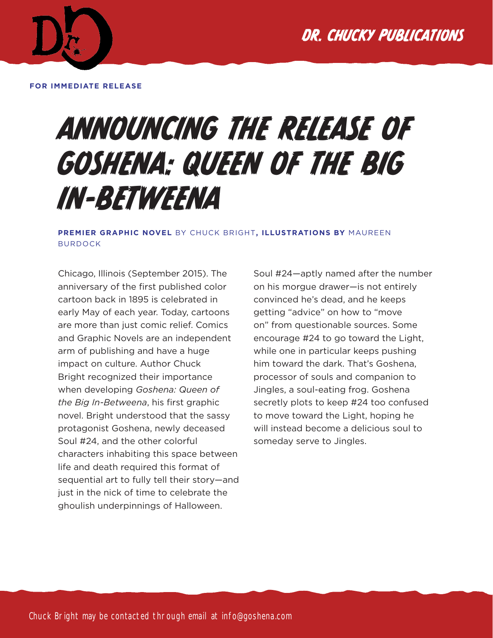

**FOR IMMEDIATE RELEASE**

## ANNOUNCING THE RELEASE OF GOSHENA: QUEEN OF THE BIG IN-BETWEENA

**PREMIER GRAPHIC NOVEL** BY CHUCK BRIGHT**, ILLUSTRATIONS BY** MAUREEN BURDOCK

Chicago, Illinois (September 2015). The anniversary of the first published color cartoon back in 1895 is celebrated in early May of each year. Today, cartoons are more than just comic relief. Comics and Graphic Novels are an independent arm of publishing and have a huge impact on culture. Author Chuck Bright recognized their importance when developing *Goshena: Queen of the Big In-Betweena*, his first graphic novel. Bright understood that the sassy protagonist Goshena, newly deceased Soul #24, and the other colorful characters inhabiting this space between life and death required this format of sequential art to fully tell their story—and just in the nick of time to celebrate the ghoulish underpinnings of Halloween.

Soul #24—aptly named after the number on his morgue drawer—is not entirely convinced he's dead, and he keeps getting "advice" on how to "move on" from questionable sources. Some encourage #24 to go toward the Light, while one in particular keeps pushing him toward the dark. That's Goshena, processor of souls and companion to Jingles, a soul-eating frog. Goshena secretly plots to keep #24 too confused to move toward the Light, hoping he will instead become a delicious soul to someday serve to Jingles.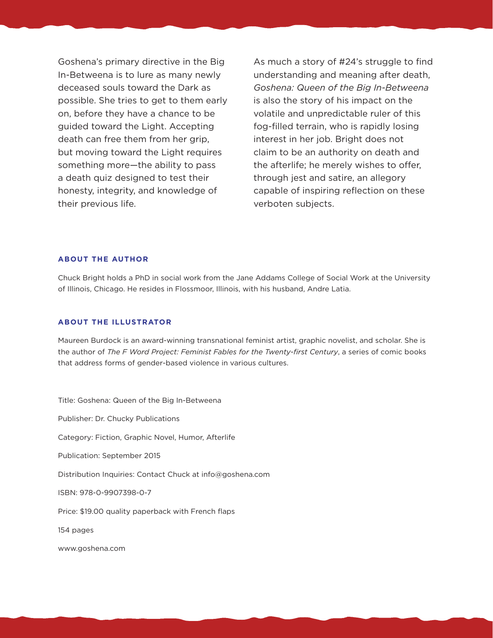Goshena's primary directive in the Big In-Betweena is to lure as many newly deceased souls toward the Dark as possible. She tries to get to them early on, before they have a chance to be guided toward the Light. Accepting death can free them from her grip, but moving toward the Light requires something more—the ability to pass a death quiz designed to test their honesty, integrity, and knowledge of their previous life.

As much a story of #24's struggle to find understanding and meaning after death, *Goshena: Queen of the Big In-Betweena* is also the story of his impact on the volatile and unpredictable ruler of this fog-filled terrain, who is rapidly losing interest in her job. Bright does not claim to be an authority on death and the afterlife; he merely wishes to offer, through jest and satire, an allegory capable of inspiring reflection on these verboten subjects.

#### **ABOUT THE AUTHOR**

Chuck Bright holds a PhD in social work from the Jane Addams College of Social Work at the University of Illinois, Chicago. He resides in Flossmoor, Illinois, with his husband, Andre Latia.

#### **ABOUT THE ILLUSTRATOR**

Maureen Burdock is an award-winning transnational feminist artist, graphic novelist, and scholar. She is the author of *The F Word Project: Feminist Fables for the Twenty-first Century*, a series of comic books that address forms of gender-based violence in various cultures.

Title: Goshena: Queen of the Big In-Betweena Publisher: Dr. Chucky Publications Category: Fiction, Graphic Novel, Humor, Afterlife Publication: September 2015 Distribution Inquiries: Contact Chuck at info@goshena.com ISBN: 978-0-9907398-0-7 Price: \$19.00 quality paperback with French flaps 154 pages www.goshena.com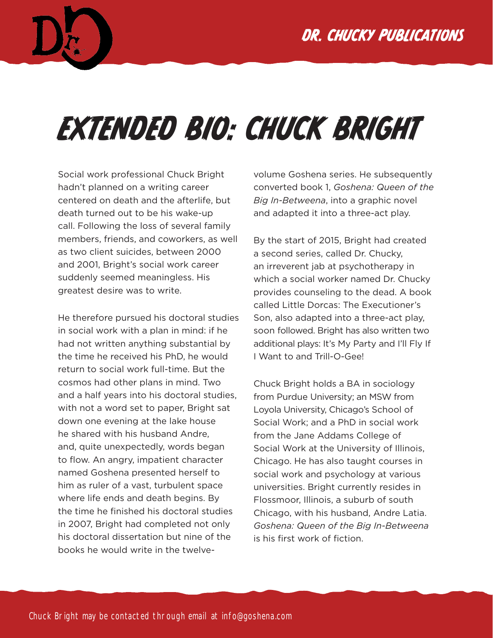

## EXTENDED BIO: CHUCK BRIGHT

Social work professional Chuck Bright hadn't planned on a writing career centered on death and the afterlife, but death turned out to be his wake-up call. Following the loss of several family members, friends, and coworkers, as well as two client suicides, between 2000 and 2001, Bright's social work career suddenly seemed meaningless. His greatest desire was to write.

He therefore pursued his doctoral studies in social work with a plan in mind: if he had not written anything substantial by the time he received his PhD, he would return to social work full-time. But the cosmos had other plans in mind. Two and a half years into his doctoral studies, with not a word set to paper, Bright sat down one evening at the lake house he shared with his husband Andre, and, quite unexpectedly, words began to flow. An angry, impatient character named Goshena presented herself to him as ruler of a vast, turbulent space where life ends and death begins. By the time he finished his doctoral studies in 2007, Bright had completed not only his doctoral dissertation but nine of the books he would write in the twelve-

volume Goshena series. He subsequently converted book 1, *Goshena: Queen of the Big In-Betweena*, into a graphic novel and adapted it into a three-act play.

By the start of 2015, Bright had created a second series, called Dr. Chucky, an irreverent jab at psychotherapy in which a social worker named Dr. Chucky provides counseling to the dead. A book called Little Dorcas: The Executioner's Son, also adapted into a three-act play, soon followed. Bright has also written two additional plays: It's My Party and I'll Fly If I Want to and Trill-O-Gee!

Chuck Bright holds a BA in sociology from Purdue University; an MSW from Loyola University, Chicago's School of Social Work; and a PhD in social work from the Jane Addams College of Social Work at the University of Illinois, Chicago. He has also taught courses in social work and psychology at various universities. Bright currently resides in Flossmoor, Illinois, a suburb of south Chicago, with his husband, Andre Latia. *Goshena: Queen of the Big In-Betweena* is his first work of fiction.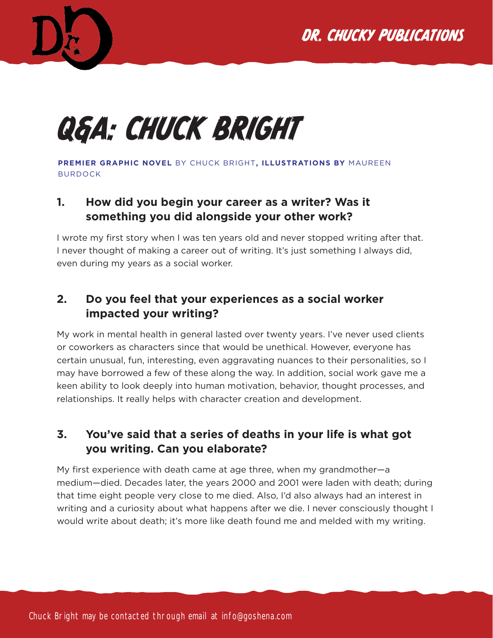

## Q&A: CHUCK BRIGHT

**PREMIER GRAPHIC NOVEL** BY CHUCK BRIGHT**, ILLUSTRATIONS BY** MAUREEN BURDOCK

### **1. How did you begin your career as a writer? Was it something you did alongside your other work?**

I wrote my first story when I was ten years old and never stopped writing after that. I never thought of making a career out of writing. It's just something I always did, even during my years as a social worker.

#### **2. Do you feel that your experiences as a social worker impacted your writing?**

My work in mental health in general lasted over twenty years. I've never used clients or coworkers as characters since that would be unethical. However, everyone has certain unusual, fun, interesting, even aggravating nuances to their personalities, so I may have borrowed a few of these along the way. In addition, social work gave me a keen ability to look deeply into human motivation, behavior, thought processes, and relationships. It really helps with character creation and development.

## **3. You've said that a series of deaths in your life is what got you writing. Can you elaborate?**

My first experience with death came at age three, when my grandmother—a medium—died. Decades later, the years 2000 and 2001 were laden with death; during that time eight people very close to me died. Also, I'd also always had an interest in writing and a curiosity about what happens after we die. I never consciously thought I would write about death; it's more like death found me and melded with my writing.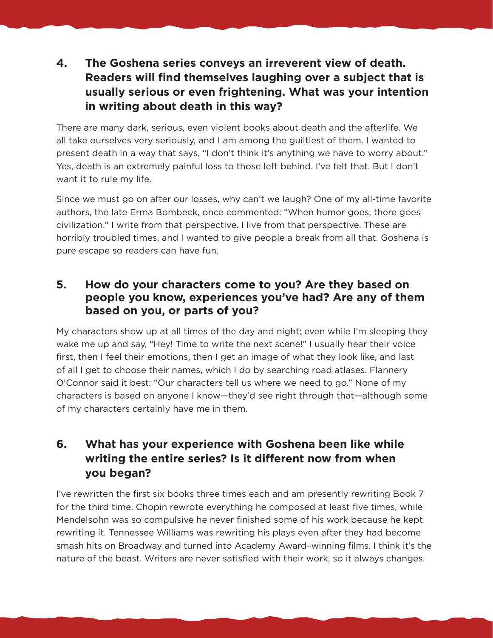## **4. The Goshena series conveys an irreverent view of death. Readers will find themselves laughing over a subject that is usually serious or even frightening. What was your intention in writing about death in this way?**

There are many dark, serious, even violent books about death and the afterlife. We all take ourselves very seriously, and I am among the guiltiest of them. I wanted to present death in a way that says, "I don't think it's anything we have to worry about." Yes, death is an extremely painful loss to those left behind. I've felt that. But I don't want it to rule my life.

Since we must go on after our losses, why can't we laugh? One of my all-time favorite authors, the late Erma Bombeck, once commented: "When humor goes, there goes civilization." I write from that perspective. I live from that perspective. These are horribly troubled times, and I wanted to give people a break from all that. Goshena is pure escape so readers can have fun.

#### **5. How do your characters come to you? Are they based on people you know, experiences you've had? Are any of them based on you, or parts of you?**

My characters show up at all times of the day and night; even while I'm sleeping they wake me up and say, "Hey! Time to write the next scene!" I usually hear their voice first, then I feel their emotions, then I get an image of what they look like, and last of all I get to choose their names, which I do by searching road atlases. Flannery O'Connor said it best: "Our characters tell us where we need to go." None of my characters is based on anyone I know—they'd see right through that—although some of my characters certainly have me in them.

## **6. What has your experience with Goshena been like while writing the entire series? Is it different now from when you began?**

I've rewritten the first six books three times each and am presently rewriting Book 7 for the third time. Chopin rewrote everything he composed at least five times, while Mendelsohn was so compulsive he never finished some of his work because he kept rewriting it. Tennessee Williams was rewriting his plays even after they had become smash hits on Broadway and turned into Academy Award–winning films. I think it's the nature of the beast. Writers are never satisfied with their work, so it always changes.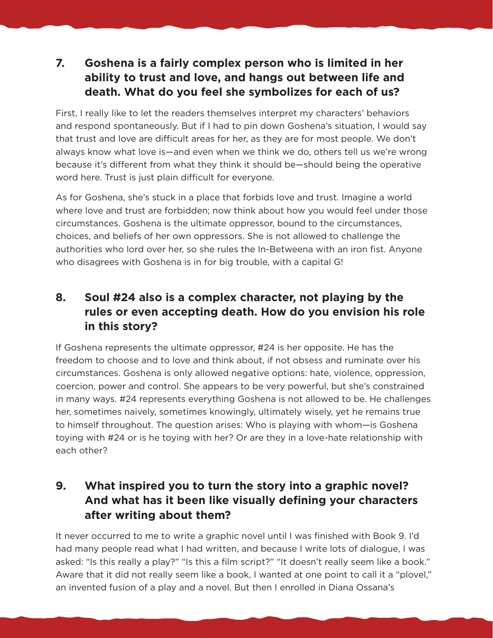## **7. Goshena is a fairly complex person who is limited in her ability to trust and love, and hangs out between life and death. What do you feel she symbolizes for each of us?**

First, I really like to let the readers themselves interpret my characters' behaviors and respond spontaneously. But if I had to pin down Goshena's situation, I would say that trust and love are difficult areas for her, as they are for most people. We don't always know what love is—and even when we think we do, others tell us we're wrong because it's different from what they think it should be—should being the operative word here. Trust is just plain difficult for everyone.

As for Goshena, she's stuck in a place that forbids love and trust. Imagine a world where love and trust are forbidden; now think about how you would feel under those circumstances. Goshena is the ultimate oppressor, bound to the circumstances, choices, and beliefs of her own oppressors. She is not allowed to challenge the authorities who lord over her, so she rules the In-Betweena with an iron fist. Anyone who disagrees with Goshena is in for big trouble, with a capital G!

## **8. Soul #24 also is a complex character, not playing by the rules or even accepting death. How do you envision his role in this story?**

If Goshena represents the ultimate oppressor, #24 is her opposite. He has the freedom to choose and to love and think about, if not obsess and ruminate over his circumstances. Goshena is only allowed negative options: hate, violence, oppression, coercion, power and control. She appears to be very powerful, but she's constrained in many ways. #24 represents everything Goshena is not allowed to be. He challenges her, sometimes naively, sometimes knowingly, ultimately wisely, yet he remains true to himself throughout. The question arises: Who is playing with whom—is Goshena toying with #24 or is he toying with her? Or are they in a love-hate relationship with each other?

## **9. What inspired you to turn the story into a graphic novel? And what has it been like visually defining your characters after writing about them?**

It never occurred to me to write a graphic novel until I was finished with Book 9. I'd had many people read what I had written, and because I write lots of dialogue, I was asked: "Is this really a play?" "Is this a film script?" "It doesn't really seem like a book." Aware that it did not really seem like a book, I wanted at one point to call it a "plovel," an invented fusion of a play and a novel. But then I enrolled in Diana Ossana's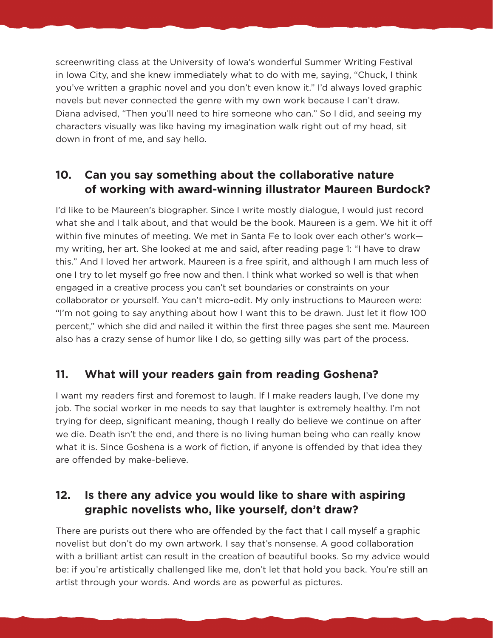screenwriting class at the University of Iowa's wonderful Summer Writing Festival in Iowa City, and she knew immediately what to do with me, saying, "Chuck, I think you've written a graphic novel and you don't even know it." I'd always loved graphic novels but never connected the genre with my own work because I can't draw. Diana advised, "Then you'll need to hire someone who can." So I did, and seeing my characters visually was like having my imagination walk right out of my head, sit down in front of me, and say hello.

### **10. Can you say something about the collaborative nature of working with award-winning illustrator Maureen Burdock?**

I'd like to be Maureen's biographer. Since I write mostly dialogue, I would just record what she and I talk about, and that would be the book. Maureen is a gem. We hit it off within five minutes of meeting. We met in Santa Fe to look over each other's work my writing, her art. She looked at me and said, after reading page 1: "I have to draw this." And I loved her artwork. Maureen is a free spirit, and although I am much less of one I try to let myself go free now and then. I think what worked so well is that when engaged in a creative process you can't set boundaries or constraints on your collaborator or yourself. You can't micro-edit. My only instructions to Maureen were: "I'm not going to say anything about how I want this to be drawn. Just let it flow 100 percent," which she did and nailed it within the first three pages she sent me. Maureen also has a crazy sense of humor like I do, so getting silly was part of the process.

#### **11. What will your readers gain from reading Goshena?**

I want my readers first and foremost to laugh. If I make readers laugh, I've done my job. The social worker in me needs to say that laughter is extremely healthy. I'm not trying for deep, significant meaning, though I really do believe we continue on after we die. Death isn't the end, and there is no living human being who can really know what it is. Since Goshena is a work of fiction, if anyone is offended by that idea they are offended by make-believe.

## **12. Is there any advice you would like to share with aspiring graphic novelists who, like yourself, don't draw?**

There are purists out there who are offended by the fact that I call myself a graphic novelist but don't do my own artwork. I say that's nonsense. A good collaboration with a brilliant artist can result in the creation of beautiful books. So my advice would be: if you're artistically challenged like me, don't let that hold you back. You're still an artist through your words. And words are as powerful as pictures.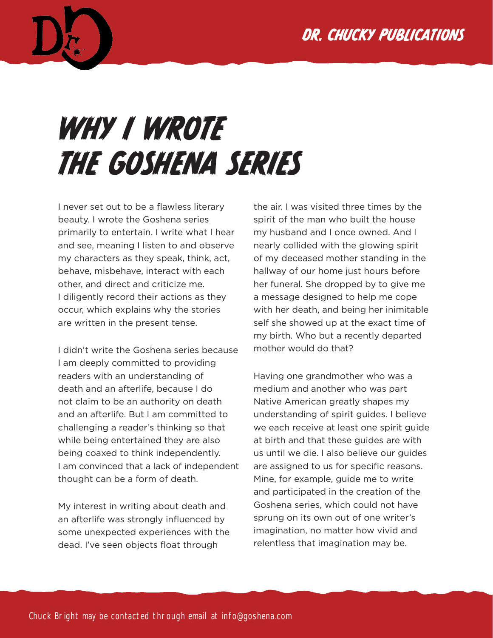## DR. CHUCKY PUBLICATIONS



## WHY I WROTE THE GOSHENA SERIES

I never set out to be a flawless literary beauty. I wrote the Goshena series primarily to entertain. I write what I hear and see, meaning I listen to and observe my characters as they speak, think, act, behave, misbehave, interact with each other, and direct and criticize me. I diligently record their actions as they occur, which explains why the stories are written in the present tense.

I didn't write the Goshena series because I am deeply committed to providing readers with an understanding of death and an afterlife, because I do not claim to be an authority on death and an afterlife. But I am committed to challenging a reader's thinking so that while being entertained they are also being coaxed to think independently. I am convinced that a lack of independent thought can be a form of death.

My interest in writing about death and an afterlife was strongly influenced by some unexpected experiences with the dead. I've seen objects float through

the air. I was visited three times by the spirit of the man who built the house my husband and I once owned. And I nearly collided with the glowing spirit of my deceased mother standing in the hallway of our home just hours before her funeral. She dropped by to give me a message designed to help me cope with her death, and being her inimitable self she showed up at the exact time of my birth. Who but a recently departed mother would do that?

Having one grandmother who was a medium and another who was part Native American greatly shapes my understanding of spirit guides. I believe we each receive at least one spirit guide at birth and that these guides are with us until we die. I also believe our guides are assigned to us for specific reasons. Mine, for example, guide me to write and participated in the creation of the Goshena series, which could not have sprung on its own out of one writer's imagination, no matter how vivid and relentless that imagination may be.